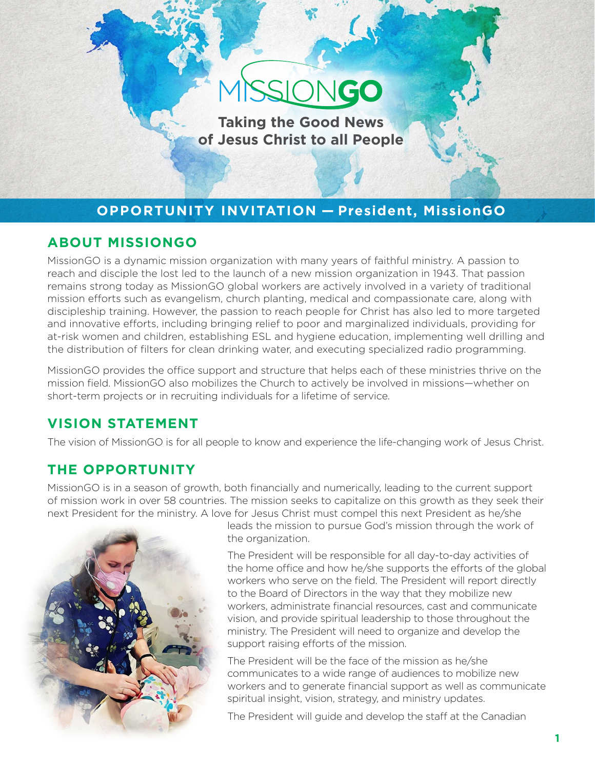# ONGO

**Taking the Good News of Jesus Christ to all People**

# **OPPORTUNITY INVITATION — President, MissionGO**

## **ABOUT MISSIONGO**

MissionGO is a dynamic mission organization with many years of faithful ministry. A passion to reach and disciple the lost led to the launch of a new mission organization in 1943. That passion remains strong today as MissionGO global workers are actively involved in a variety of traditional mission efforts such as evangelism, church planting, medical and compassionate care, along with discipleship training. However, the passion to reach people for Christ has also led to more targeted and innovative efforts, including bringing relief to poor and marginalized individuals, providing for at-risk women and children, establishing ESL and hygiene education, implementing well drilling and the distribution of filters for clean drinking water, and executing specialized radio programming.

MissionGO provides the office support and structure that helps each of these ministries thrive on the mission field. MissionGO also mobilizes the Church to actively be involved in missions—whether on short-term projects or in recruiting individuals for a lifetime of service.

# **VISION STATEMENT**

The vision of MissionGO is for all people to know and experience the life-changing work of Jesus Christ.

# **THE OPPORTUNITY**

MissionGO is in a season of growth, both financially and numerically, leading to the current support of mission work in over 58 countries. The mission seeks to capitalize on this growth as they seek their next President for the ministry. A love for Jesus Christ must compel this next President as he/she



leads the mission to pursue God's mission through the work of the organization.

The President will be responsible for all day-to-day activities of the home office and how he/she supports the efforts of the global workers who serve on the field. The President will report directly to the Board of Directors in the way that they mobilize new workers, administrate financial resources, cast and communicate vision, and provide spiritual leadership to those throughout the ministry. The President will need to organize and develop the support raising efforts of the mission.

The President will be the face of the mission as he/she communicates to a wide range of audiences to mobilize new workers and to generate financial support as well as communicate spiritual insight, vision, strategy, and ministry updates.

The President will guide and develop the staff at the Canadian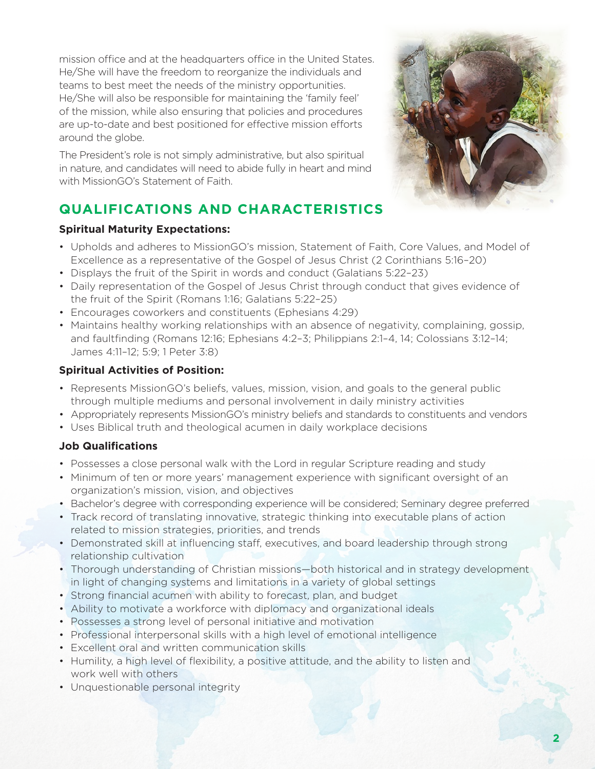mission office and at the headquarters office in the United States. He/She will have the freedom to reorganize the individuals and teams to best meet the needs of the ministry opportunities. He/She will also be responsible for maintaining the 'family feel' of the mission, while also ensuring that policies and procedures are up-to-date and best positioned for effective mission efforts around the globe.

The President's role is not simply administrative, but also spiritual in nature, and candidates will need to abide fully in heart and mind with MissionGO's Statement of Faith.

# **QUALIFICATIONS AND CHARACTERISTICS**

### **Spiritual Maturity Expectations:**

- Upholds and adheres to MissionGO's mission, Statement of Faith, Core Values, and Model of Excellence as a representative of the Gospel of Jesus Christ (2 Corinthians 5:16–20)
- Displays the fruit of the Spirit in words and conduct (Galatians 5:22-23)
- Daily representation of the Gospel of Jesus Christ through conduct that gives evidence of the fruit of the Spirit (Romans 1:16; Galatians 5:22–25)
- Encourages coworkers and constituents (Ephesians 4:29)
- Maintains healthy working relationships with an absence of negativity, complaining, gossip, and faultfinding (Romans 12:16; Ephesians 4:2–3; Philippians 2:1–4, 14; Colossians 3:12–14; James 4:11–12; 5:9; 1 Peter 3:8)

### **Spiritual Activities of Position:**

- Represents MissionGO's beliefs, values, mission, vision, and goals to the general public through multiple mediums and personal involvement in daily ministry activities
- Appropriately represents MissionGO's ministry beliefs and standards to constituents and vendors
- Uses Biblical truth and theological acumen in daily workplace decisions

## **Job Qualifications**

- Possesses a close personal walk with the Lord in regular Scripture reading and study
- Minimum of ten or more years' management experience with significant oversight of an organization's mission, vision, and objectives
- Bachelor's degree with corresponding experience will be considered; Seminary degree preferred
- Track record of translating innovative, strategic thinking into executable plans of action related to mission strategies, priorities, and trends
- Demonstrated skill at influencing staff, executives, and board leadership through strong relationship cultivation
- Thorough understanding of Christian missions—both historical and in strategy development in light of changing systems and limitations in a variety of global settings
- Strong financial acumen with ability to forecast, plan, and budget
- Ability to motivate a workforce with diplomacy and organizational ideals
- Possesses a strong level of personal initiative and motivation
- Professional interpersonal skills with a high level of emotional intelligence
- Excellent oral and written communication skills
- Humility, a high level of flexibility, a positive attitude, and the ability to listen and work well with others
- Unquestionable personal integrity

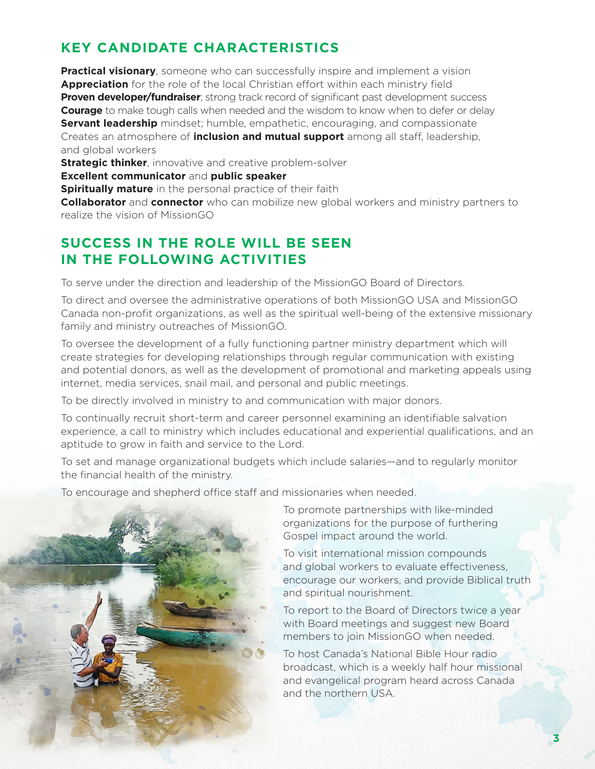# **KEY CANDIDATE CHARACTERISTICS**

**Practical visionary**, someone who can successfully inspire and implement a vision **Appreciation** for the role of the local Christian effort within each ministry field **Proven developer/fundraiser**; strong track record of significant past development success **Courage** to make tough calls when needed and the wisdom to know when to defer or delay **Servant leadership** mindset; humble, empathetic, encouraging, and compassionate Creates an atmosphere of **inclusion and mutual support** among all staff, leadership, and global workers

**Strategic thinker**, innovative and creative problem-solver

**Excellent communicator** and **public speaker**

**Spiritually mature** in the personal practice of their faith

**Collaborator** and **connector** who can mobilize new global workers and ministry partners to realize the vision of MissionGO

## **SUCCESS IN THE ROLE WILL BE SEEN IN THE FOLLOWING ACTIVITIES**

To serve under the direction and leadership of the MissionGO Board of Directors.

To direct and oversee the administrative operations of both MissionGO USA and MissionGO Canada non-profit organizations, as well as the spiritual well-being of the extensive missionary family and ministry outreaches of MissionGO.

To oversee the development of a fully functioning partner ministry department which will create strategies for developing relationships through regular communication with existing and potential donors, as well as the development of promotional and marketing appeals using internet, media services, snail mail, and personal and public meetings.

To be directly involved in ministry to and communication with major donors.

To continually recruit short-term and career personnel examining an identifiable salvation experience, a call to ministry which includes educational and experiential qualifications, and an aptitude to grow in faith and service to the Lord.

To set and manage organizational budgets which include salaries—and to regularly monitor the financial health of the ministry.

To encourage and shepherd office staff and missionaries when needed.



To promote partnerships with like-minded organizations for the purpose of furthering Gospel impact around the world.

To visit international mission compounds and global workers to evaluate effectiveness, encourage our workers, and provide Biblical truth and spiritual nourishment.

To report to the Board of Directors twice a year with Board meetings and suggest new Board members to join MissionGO when needed.

To host Canada's National Bible Hour radio broadcast, which is a weekly half hour missional and evangelical program heard across Canada and the northern USA.